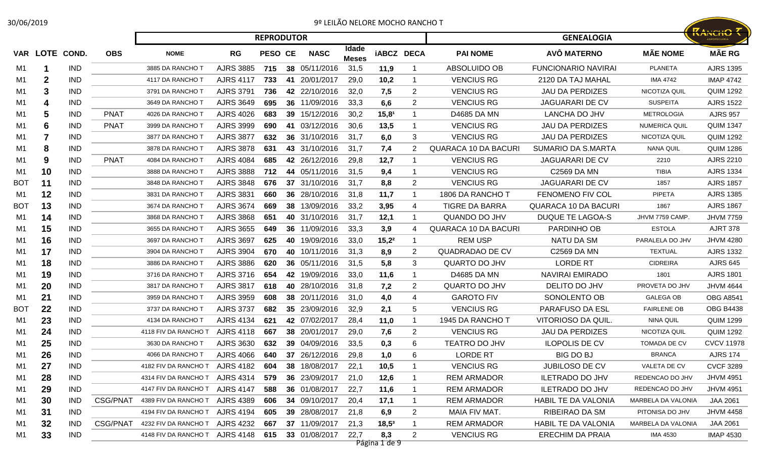## 30/06/2019 9º LEILÃO NELORE MOCHO RANCHO T

|                |                |            |                 |                                |                  | <b>REPRODUTOR</b> |    |               |                       |                      |                |                             | <b>GENEALOGIA</b>           |                      | <b>KANCHO</b> ?   |
|----------------|----------------|------------|-----------------|--------------------------------|------------------|-------------------|----|---------------|-----------------------|----------------------|----------------|-----------------------------|-----------------------------|----------------------|-------------------|
|                | VAR LOTE COND. |            | <b>OBS</b>      | <b>NOME</b>                    | <b>RG</b>        | PESO CE           |    | <b>NASC</b>   | Idade<br><b>Meses</b> | <b>iABCZ DECA</b>    |                | <b>PAI NOME</b>             | AVÔ MATERNO                 | <b>MÃE NOME</b>      | <b>MÃE RG</b>     |
| M1             | 1              | <b>IND</b> |                 | 3885 DA RANCHO T               | <b>AJRS 3885</b> | 715               |    | 38 05/11/2016 | 31,5                  | 11,9                 |                | ABSOLUIDO OB                | <b>FUNCIONARIO NAVIRAI</b>  | <b>PLANETA</b>       | <b>AJRS 1395</b>  |
| M1             | 2              | <b>IND</b> |                 | 4117 DA RANCHO T               | <b>AJRS 4117</b> | 733               | 41 | 20/01/2017    | 29,0                  | 10,2                 | -1             | <b>VENCIUS RG</b>           | 2120 DA TAJ MAHAL           | <b>IMA 4742</b>      | <b>IMAP 4742</b>  |
| M1             | 3              | <b>IND</b> |                 | 3791 DA RANCHO T               | <b>AJRS 3791</b> | 736               |    | 42 22/10/2016 | 32,0                  | 7,5                  | 2              | <b>VENCIUS RG</b>           | <b>JAU DA PERDIZES</b>      | NICOTIZA QUIL        | <b>QUIM 1292</b>  |
| M1             |                | <b>IND</b> |                 | 3649 DA RANCHO T               | <b>AJRS 3649</b> | 695               |    | 36 11/09/2016 | 33,3                  | 6,6                  | 2              | <b>VENCIUS RG</b>           | <b>JAGUARARI DE CV</b>      | <b>SUSPEITA</b>      | <b>AJRS 1522</b>  |
| M1             | 5              | <b>IND</b> | <b>PNAT</b>     | 4026 DA RANCHO T               | <b>AJRS 4026</b> | 683               | 39 | 15/12/2016    | 30,2                  | 15,8 <sup>1</sup>    |                | D4685 DA MN                 | LANCHA DO JHV               | <b>METROLOGIA</b>    | <b>AJRS 957</b>   |
| M1             | 6              | <b>IND</b> | <b>PNAT</b>     | 3999 DA RANCHO T               | <b>AJRS 3999</b> | 690               | 41 | 03/12/2016    | 30,6                  | 13,5                 |                | <b>VENCIUS RG</b>           | <b>JAU DA PERDIZES</b>      | <b>NUMERICA QUIL</b> | <b>QUIM 1347</b>  |
| M1             |                | <b>IND</b> |                 | 3877 DA RANCHO T               | <b>AJRS 3877</b> | 632               |    | 36 31/10/2016 | 31,7                  | 6,0                  | 3              | <b>VENCIUS RG</b>           | <b>JAU DA PERDIZES</b>      | NICOTIZA QUIL        | <b>QUIM 1292</b>  |
| M1             | 8              | <b>IND</b> |                 | 3878 DA RANCHO T               | <b>AJRS 3878</b> | 631               |    | 43 31/10/2016 | 31,7                  | 7,4                  |                | <b>QUARACA 10 DA BACURI</b> | SUMARIO DA S.MARTA          | <b>NANA QUIL</b>     | <b>QUIM 1286</b>  |
| M1             | 9              | <b>IND</b> | <b>PNAT</b>     | 4084 DA RANCHO T               | <b>AJRS 4084</b> | 685               |    | 42 26/12/2016 | 29,8                  | 12,7                 |                | <b>VENCIUS RG</b>           | <b>JAGUARARI DE CV</b>      | 2210                 | <b>AJRS 2210</b>  |
| M1             | 10             | <b>IND</b> |                 | 3888 DA RANCHO T               | <b>AJRS 3888</b> | 712               |    | 44 05/11/2016 | 31,5                  | 9,4                  |                | <b>VENCIUS RG</b>           | C2569 DA MN                 | <b>TIBIA</b>         | <b>AJRS 1334</b>  |
| <b>BOT</b>     | 11             | <b>IND</b> |                 | 3848 DA RANCHO T               | <b>AJRS 3848</b> | 676               |    | 37 31/10/2016 | 31,7                  | 8,8                  | 2              | <b>VENCIUS RG</b>           | <b>JAGUARARI DE CV</b>      | 1857                 | <b>AJRS 1857</b>  |
| M1             | 12             | <b>IND</b> |                 | 3831 DA RANCHO T               | <b>AJRS 3831</b> | 660               |    | 36 28/10/2016 | 31,8                  | 11,7                 | -1             | 1806 DA RANCHO T            | <b>FENOMENO FIV COL</b>     | PIPETA               | <b>AJRS 1385</b>  |
| <b>BOT</b>     | 13             | <b>IND</b> |                 | 3674 DA RANCHO T               | <b>AJRS 3674</b> | 669               |    | 38 13/09/2016 | 33,2                  | 3,95                 | 4              | <b>TIGRE DA BARRA</b>       | <b>QUARACA 10 DA BACURI</b> | 1867                 | <b>AJRS 1867</b>  |
| M1             | 14             | <b>IND</b> |                 | 3868 DA RANCHO T               | <b>AJRS 3868</b> | 651               |    | 40 31/10/2016 | 31,7                  | 12,1                 | -1             | QUANDO DO JHV               | <b>DUQUE TE LAGOA-S</b>     | JHVM 7759 CAMP.      | <b>JHVM 7759</b>  |
| M1             | 15             | <b>IND</b> |                 | 3655 DA RANCHO T               | <b>AJRS 3655</b> | 649               |    | 36 11/09/2016 | 33,3                  | 3,9                  | 4              | <b>QUARACA 10 DA BACURI</b> | PARDINHO OB                 | <b>ESTOLA</b>        | <b>AJRT 378</b>   |
| M1             | 16             | <b>IND</b> |                 | 3697 DA RANCHO T               | <b>AJRS 3697</b> | 625               | 40 | 19/09/2016    | 33,0                  | $15,2^2$             |                | <b>REM USP</b>              | <b>NATU DA SM</b>           | PARALELA DO JHV      | <b>JHVM 4280</b>  |
| M1             | 17             | <b>IND</b> |                 | 3904 DA RANCHO T               | <b>AJRS 3904</b> | 670               | 40 | 10/11/2016    | 31,3                  | 8,9                  | 2              | <b>QUADRADAO DE CV</b>      | C2569 DA MN                 | <b>TEXTUAL</b>       | <b>AJRS 1332</b>  |
| M1             | 18             | <b>IND</b> |                 | 3886 DA RANCHO T               | <b>AJRS 3886</b> | 620               |    | 36 05/11/2016 | 31,5                  | 5,8                  | 3              | <b>QUARTO DO JHV</b>        | <b>LORDE RT</b>             | <b>CIDREIRA</b>      | <b>AJRS 645</b>   |
| M1             | 19             | <b>IND</b> |                 | 3716 DA RANCHO T               | AJRS 3716        | 654               |    | 42 19/09/2016 | 33,0                  | 11,6                 | -1             | D4685 DA MN                 | <b>NAVIRAI EMIRADO</b>      | 1801                 | <b>AJRS 1801</b>  |
| M1             | 20             | <b>IND</b> |                 | 3817 DA RANCHO T               | <b>AJRS 3817</b> | 618               |    | 40 28/10/2016 | 31.8                  | 7,2                  | $\overline{2}$ | <b>QUARTO DO JHV</b>        | DELITO DO JHV               | PROVETA DO JHV       | <b>JHVM 4644</b>  |
| M1             | 21             | <b>IND</b> |                 | 3959 DA RANCHO T               | <b>AJRS 3959</b> | 608               |    | 38 20/11/2016 | 31,0                  | 4,0                  | 4              | <b>GAROTO FIV</b>           | SONOLENTO OB                | <b>GALEGA OB</b>     | <b>OBG A8541</b>  |
| <b>BOT</b>     | 22             | <b>IND</b> |                 | 3737 DA RANCHO T               | <b>AJRS 3737</b> | 682               |    | 35 23/09/2016 | 32,9                  | 2,1                  | 5              | <b>VENCIUS RG</b>           | <b>PARAFUSO DA ESL</b>      | <b>FAIRLENE OB</b>   | <b>OBG B4438</b>  |
| M1             | 23             | <b>IND</b> |                 | 4134 DA RANCHO T               | <b>AJRS 4134</b> | 621               |    | 42 07/02/2017 | 28,4                  | 11,0                 |                | 1945 DA RANCHO T            | VITORIOSO DA QUIL.          | NINA QUIL            | <b>QUIM 1299</b>  |
| M1             | 24             | <b>IND</b> |                 | 4118 FIV DA RANCHO T           | <b>AJRS 4118</b> | 667               |    | 38 20/01/2017 | 29,0                  | 7,6                  | 2              | <b>VENCIUS RG</b>           | <b>JAU DA PERDIZES</b>      | NICOTIZA QUIL        | <b>QUIM 1292</b>  |
| M1             | 25             | <b>IND</b> |                 | 3630 DA RANCHO T               | AJRS 3630        | 632               |    | 39 04/09/2016 | 33,5                  | 0,3                  | 6              | <b>TEATRO DO JHV</b>        | <b>ILOPOLIS DE CV</b>       | TOMADA DE CV         | <b>CVCV 11978</b> |
| M1             | 26             | <b>IND</b> |                 | 4066 DA RANCHO T               | <b>AJRS 4066</b> | 640               |    | 37 26/12/2016 | 29,8                  | 1,0                  | 6              | <b>LORDE RT</b>             | <b>BIG DO BJ</b>            | <b>BRANCA</b>        | <b>AJRS 174</b>   |
| M <sub>1</sub> | 27             | <b>IND</b> |                 | 4182 FIV DA RANCHO T AJRS 4182 |                  | 604               | 38 | 18/08/2017    | 22,1                  | 10,5                 |                | <b>VENCIUS RG</b>           | JUBILOSO DE CV              | VALETA DE CV         | <b>CVCF 3289</b>  |
| M1             | 28             | <b>IND</b> |                 | 4314 FIV DA RANCHO T           | AJRS 4314        | 579               |    | 36 23/09/2017 | 21,0                  | 12,6                 |                | <b>REM ARMADOR</b>          | <b>ILETRADO DO JHV</b>      | REDENCAO DO JHV      | <b>JHVM 4951</b>  |
| M1             | 29             | <b>IND</b> |                 | 4147 FIV DA RANCHO T           | <b>AJRS 4147</b> | 588               |    | 36 01/08/2017 | 22,7                  | 11,6                 | -1             | <b>REM ARMADOR</b>          | <b>ILETRADO DO JHV</b>      | REDENCAO DO JHV      | <b>JHVM 4951</b>  |
| M1             | 30             | <b>IND</b> | CSG/PNAT        | 4389 FIV DA RANCHO T           | AJRS 4389        | 606               |    | 34 09/10/2017 | 20,4                  | 17,1                 | 1              | <b>REM ARMADOR</b>          | <b>HABIL TE DA VALONIA</b>  | MARBELA DA VALONIA   | JAA 2061          |
| M1             | 31             | <b>IND</b> |                 | 4194 FIV DA RANCHO T           | <b>AJRS 4194</b> | 605               |    | 39 28/08/2017 | 21,8                  | 6,9                  | $\mathbf{2}$   | MAIA FIV MAT.               | RIBEIRAO DA SM              | PITONISA DO JHV      | <b>JHVM 4458</b>  |
| M1             | 32             | <b>IND</b> | <b>CSG/PNAT</b> | 4232 FIV DA RANCHO T           | AJRS 4232        | 667               |    | 37 11/09/2017 | 21,3                  | $18,5^3$             | -1             | <b>REM ARMADOR</b>          | <b>HABIL TE DA VALONIA</b>  | MARBELA DA VALONIA   | JAA 2061          |
| M1             | 33             | <b>IND</b> |                 | 4148 FIV DA RANCHO T AJRS 4148 |                  | 615               |    | 33 01/08/2017 | 22,7                  | 8,3<br>Página 1 de 9 | $\mathbf{2}$   | <b>VENCIUS RG</b>           | ERECHIM DA PRAIA            | IMA 4530             | <b>IMAP 4530</b>  |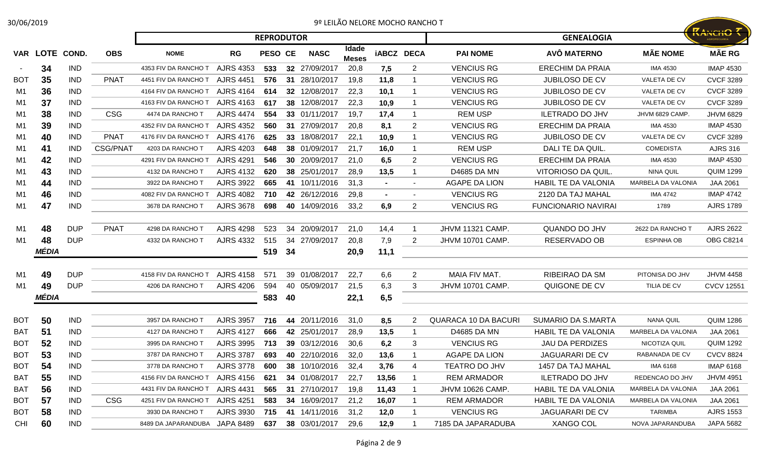## 30/06/2019 9º LEILÃO NELORE MOCHO RANCHO T

| 0/06/2019  |                |            |                 |                               |                             |                   |    |               |                       | 9º LEILÃO NELORE MOCHO RANCHO T |                         |                             |                            |                    |                                        |
|------------|----------------|------------|-----------------|-------------------------------|-----------------------------|-------------------|----|---------------|-----------------------|---------------------------------|-------------------------|-----------------------------|----------------------------|--------------------|----------------------------------------|
|            |                |            |                 |                               |                             | <b>REPRODUTOR</b> |    |               |                       |                                 |                         |                             | <b>GENEALOGIA</b>          |                    | <b>RANCHO 7</b><br><b>AGROPECUÁRIA</b> |
|            | VAR LOTE COND. |            | <b>OBS</b>      | <b>NOME</b>                   | RG                          | <b>PESO CE</b>    |    | <b>NASC</b>   | Idade<br><b>Meses</b> | <b>iABCZ DECA</b>               |                         | <b>PAI NOME</b>             | AVÔ MATERNO                | <b>MÃE NOME</b>    | <b>MÃE RG</b>                          |
| $\sim$     | 34             | <b>IND</b> |                 | 4353 FIV DA RANCHO T          | <b>AJRS 4353</b>            | 533               |    | 32 27/09/2017 | 20,8                  | 7,5                             | 2                       | <b>VENCIUS RG</b>           | <b>ERECHIM DA PRAIA</b>    | <b>IMA 4530</b>    | <b>IMAP 4530</b>                       |
| <b>BOT</b> | 35             | <b>IND</b> | <b>PNAT</b>     | 4451 FIV DA RANCHO T          | <b>AJRS 4451</b>            | 576               | 31 | 28/10/2017    | 19,8                  | 11,8                            | -1                      | <b>VENCIUS RG</b>           | <b>JUBILOSO DE CV</b>      | VALETA DE CV       | <b>CVCF 3289</b>                       |
| M1         | 36             | <b>IND</b> |                 | 4164 FIV DA RANCHO T          | <b>AJRS 4164</b>            | 614               |    | 32 12/08/2017 | 22,3                  | 10,1                            | -1                      | <b>VENCIUS RG</b>           | <b>JUBILOSO DE CV</b>      | VALETA DE CV       | <b>CVCF 3289</b>                       |
| M1         | 37             | <b>IND</b> |                 | 4163 FIV DA RANCHO T          | <b>AJRS 4163</b>            | 617               |    | 38 12/08/2017 | 22,3                  | 10,9                            | -1                      | <b>VENCIUS RG</b>           | <b>JUBILOSO DE CV</b>      | VALETA DE CV       | <b>CVCF 3289</b>                       |
| M1         | 38             | <b>IND</b> | <b>CSG</b>      | 4474 DA RANCHO T              | <b>AJRS 4474</b>            | 554               |    | 33 01/11/2017 | 19,7                  | 17,4                            | -1                      | <b>REM USP</b>              | <b>ILETRADO DO JHV</b>     | JHVM 6829 CAMP.    | <b>JHVM 6829</b>                       |
| M1         | 39             | <b>IND</b> |                 | 4352 FIV DA RANCHO T          | <b>AJRS 4352</b>            | 560               |    | 31 27/09/2017 | 20,8                  | 8,1                             | 2                       | <b>VENCIUS RG</b>           | <b>ERECHIM DA PRAIA</b>    | <b>IMA 4530</b>    | <b>IMAP 4530</b>                       |
| M1         | 40             | <b>IND</b> | <b>PNAT</b>     | 4176 FIV DA RANCHO T          | <b>AJRS 4176</b>            | 625               |    | 33 18/08/2017 | 22,1                  | 10,9                            | -1                      | <b>VENCIUS RG</b>           | <b>JUBILOSO DE CV</b>      | VALETA DE CV       | <b>CVCF 3289</b>                       |
| M1         | 41             | <b>IND</b> | <b>CSG/PNAT</b> | 4203 DA RANCHO T              | <b>AJRS 4203</b>            | 648               |    | 38 01/09/2017 | 21,7                  | 16,0                            | -1                      | <b>REM USP</b>              | DALI TE DA QUIL.           | <b>COMEDISTA</b>   | <b>AJRS 316</b>                        |
| M1         | 42             | <b>IND</b> |                 | 4291 FIV DA RANCHO T          | <b>AJRS 4291</b>            | 546               |    | 30 20/09/2017 | 21,0                  | 6,5                             | 2                       | <b>VENCIUS RG</b>           | <b>ERECHIM DA PRAIA</b>    | <b>IMA 4530</b>    | <b>IMAP 4530</b>                       |
| M1         | 43             | <b>IND</b> |                 | 4132 DA RANCHO T              | <b>AJRS 4132</b>            | 620               |    | 38 25/01/2017 | 28,9                  | 13,5                            | -1                      | D4685 DA MN                 | VITORIOSO DA QUIL.         | NINA QUIL          | <b>QUIM 1299</b>                       |
| M1         | 44             | <b>IND</b> |                 | 3922 DA RANCHO T              | <b>AJRS 3922</b>            | 665               |    | 41 10/11/2016 | 31,3                  | $\sim$                          | $\sim$                  | <b>AGAPE DA LION</b>        | <b>HABIL TE DA VALONIA</b> | MARBELA DA VALONIA | <b>JAA 2061</b>                        |
| M1         | 46             | <b>IND</b> |                 | 4082 FIV DA RANCHO T          | <b>AJRS 4082</b>            | 710               |    | 42 26/12/2016 | 29,8                  | $\blacksquare$                  | $\blacksquare$          | <b>VENCIUS RG</b>           | 2120 DA TAJ MAHAL          | <b>IMA 4742</b>    | <b>IMAP 4742</b>                       |
| M1         | 47             | <b>IND</b> |                 | 3678 DA RANCHO T              | <b>AJRS 3678</b>            | 698               |    | 40 14/09/2016 | 33,2                  | 6,9                             | 2                       | <b>VENCIUS RG</b>           | <b>FUNCIONARIO NAVIRAI</b> | 1789               | <b>AJRS 1789</b>                       |
| M1         | 48             | <b>DUP</b> | <b>PNAT</b>     | 4298 DA RANCHO T              | <b>AJRS 4298</b>            | 523               |    | 34 20/09/2017 | 21,0                  | 14,4                            | -1                      | <b>JHVM 11321 CAMP.</b>     | QUANDO DO JHV              | 2622 DA RANCHO T   | <b>AJRS 2622</b>                       |
| M1         | 48             | <b>DUP</b> |                 | 4332 DA RANCHO T              | <b>AJRS 4332</b>            | 515               | 34 | 27/09/2017    | 20,8                  | 7,9                             | 2                       | <b>JHVM 10701 CAMP.</b>     | RESERVADO OB               | <b>ESPINHA OB</b>  | <b>OBG C8214</b>                       |
|            | MÉDIA          |            |                 |                               |                             | 519               | 34 |               | 20,9                  | 11,1                            |                         |                             |                            |                    |                                        |
|            |                |            |                 |                               |                             |                   |    |               |                       |                                 |                         |                             |                            |                    |                                        |
| M1         | 49             | <b>DUP</b> |                 | 4158 FIV DA RANCHO T          | <b>AJRS 4158</b>            | 571               |    | 39 01/08/2017 | 22,7                  | 6,6                             | $\overline{2}$          | MAIA FIV MAT.               | RIBEIRAO DA SM             | PITONISA DO JHV    | <b>JHVM 4458</b>                       |
| M1         | 49             | <b>DUP</b> |                 | 4206 DA RANCHO T              | <b>AJRS 4206</b>            | 594               |    | 40 05/09/2017 | 21,5                  | 6,3                             | 3                       | <b>JHVM 10701 CAMP.</b>     | QUIGONE DE CV              | TILIA DE CV        | <b>CVCV 12551</b>                      |
|            | MÉDIA          |            |                 |                               |                             | 583               | 40 |               | 22,1                  | 6,5                             |                         |                             |                            |                    |                                        |
|            |                |            |                 |                               |                             |                   |    |               |                       |                                 |                         |                             |                            |                    |                                        |
| <b>BOT</b> | 50             | <b>IND</b> |                 | 3957 DA RANCHO T              | <b>AJRS 3957</b>            | 716               |    | 44 20/11/2016 | 31,0                  | 8,5                             | 2                       | <b>QUARACA 10 DA BACURI</b> | <b>SUMARIO DA S.MARTA</b>  | <b>NANA QUIL</b>   | <b>QUIM 1286</b>                       |
| BAT        | 51             | <b>IND</b> |                 | 4127 DA RANCHO T              | <b>AJRS 4127</b>            | 666               |    | 42 25/01/2017 | 28,9                  | 13,5                            | -1                      | D4685 DA MN                 | <b>HABIL TE DA VALONIA</b> | MARBELA DA VALONIA | <b>JAA 2061</b>                        |
| <b>BOT</b> | 52             | <b>IND</b> |                 | 3995 DA RANCHO T              | <b>AJRS 3995</b>            | 713               |    | 39 03/12/2016 | 30,6                  | 6,2                             | 3                       | <b>VENCIUS RG</b>           | <b>JAU DA PERDIZES</b>     | NICOTIZA QUIL      | <b>QUIM 1292</b>                       |
| <b>BOT</b> | 53             | <b>IND</b> |                 | 3787 DA RANCHO T              | AJRS 3787 693 40 22/10/2016 |                   |    |               | 32,0                  | 13,6                            | $\mathbf 1$             | <b>AGAPE DA LION</b>        | JAGUARARI DE CV            | RABANADA DE CV     | <b>CVCV 8824</b>                       |
| <b>BOT</b> | 54             | <b>IND</b> |                 | 3778 DA RANCHO T              | <b>AJRS 3778</b>            | 600               |    | 38 10/10/2016 | 32,4                  | 3,76                            | 4                       | TEATRO DO JHV               | 1457 DA TAJ MAHAL          | IMA 6168           | <b>IMAP 6168</b>                       |
| <b>BAT</b> | 55             | <b>IND</b> |                 | 4156 FIV DA RANCHO T          | AJRS 4156                   | 621               |    | 34 01/08/2017 | 22,7                  | 13,56                           | $\overline{\mathbf{1}}$ | <b>REM ARMADOR</b>          | <b>ILETRADO DO JHV</b>     | REDENCAO DO JHV    | <b>JHVM 4951</b>                       |
| BAT        | 56             | IND        |                 | 4431 FIV DA RANCHO T          | <b>AJRS 4431</b>            | 565               |    | 31 27/10/2017 | 19,8                  | 11,43                           | -1                      | JHVM 10626 CAMP.            | HABIL TE DA VALONIA        | MARBELA DA VALONIA | JAA 2061                               |
| <b>BOT</b> | 57             | IND        | <b>CSG</b>      | 4251 FIV DA RANCHO T          | <b>AJRS 4251</b>            | 583               |    | 34 16/09/2017 | 21,2                  | 16,07                           | $\overline{\mathbf{1}}$ | <b>REM ARMADOR</b>          | <b>HABIL TE DA VALONIA</b> | MARBELA DA VALONIA | JAA 2061                               |
| <b>BOT</b> | 58             | IND        |                 | 3930 DA RANCHO T              | AJRS 3930                   | 715               |    | 41 14/11/2016 | 31,2                  | 12,0                            | -1                      | <b>VENCIUS RG</b>           | <b>JAGUARARI DE CV</b>     | TARIMBA            | <b>AJRS 1553</b>                       |
| CHI        | 60             | <b>IND</b> |                 | 8489 DA JAPARANDUBA JAPA 8489 |                             | 637               |    | 38 03/01/2017 | 29,6                  | 12,9                            | - 1                     | 7185 DA JAPARADUBA          | <b>XANGO COL</b>           | NOVA JAPARANDUBA   | JAPA 5682                              |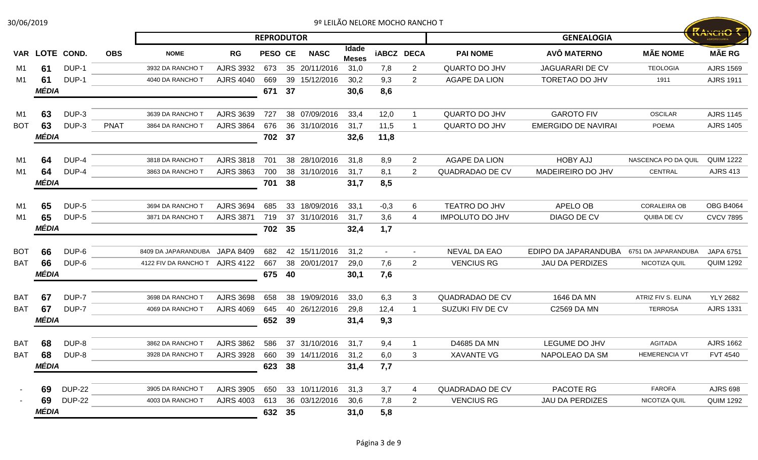Página 3 de 9

| 30/06/2019 |                |               |             |                      |                  |                   |    |               |                       | 9º LEILÃO NELORE MOCHO RANCHO T |                |                        |                            |                     |                  |
|------------|----------------|---------------|-------------|----------------------|------------------|-------------------|----|---------------|-----------------------|---------------------------------|----------------|------------------------|----------------------------|---------------------|------------------|
|            |                |               |             |                      |                  | <b>REPRODUTOR</b> |    |               |                       |                                 |                |                        | <b>GENEALOGIA</b>          |                     | <b>KANCHO T</b>  |
|            | VAR LOTE COND. |               | <b>OBS</b>  | <b>NOME</b>          | RG               | PESO CE           |    | <b>NASC</b>   | Idade<br><b>Meses</b> | <b>iABCZ DECA</b>               |                | <b>PAI NOME</b>        | AVÔ MATERNO                | <b>MÃE NOME</b>     | <b>MÃE RG</b>    |
| M1         | 61             | DUP-1         |             | 3932 DA RANCHO T     | <b>AJRS 3932</b> | 673               |    | 35 20/11/2016 | 31,0                  | 7,8                             | $\mathbf{2}$   | <b>QUARTO DO JHV</b>   | <b>JAGUARARI DE CV</b>     | <b>TEOLOGIA</b>     | <b>AJRS 1569</b> |
| M1         | 61             | DUP-1         |             | 4040 DA RANCHO T     | <b>AJRS 4040</b> | 669               |    | 39 15/12/2016 | 30,2                  | 9,3                             | $\overline{2}$ | <b>AGAPE DA LION</b>   | <b>TORETAO DO JHV</b>      | 1911                | <b>AJRS 1911</b> |
|            | MÉDIA          |               |             |                      |                  | 671               | 37 |               | 30,6                  | 8,6                             |                |                        |                            |                     |                  |
| M1         | 63             | DUP-3         |             | 3639 DA RANCHO T     | <b>AJRS 3639</b> | 727               |    | 38 07/09/2016 | 33,4                  | 12,0                            | -1             | QUARTO DO JHV          | <b>GAROTO FIV</b>          | <b>OSCILAR</b>      | <b>AJRS 1145</b> |
| <b>BOT</b> | 63             | DUP-3         | <b>PNAT</b> | 3864 DA RANCHO T     | <b>AJRS 3864</b> | 676               |    | 36 31/10/2016 | 31,7                  | 11,5                            | -1             | <b>QUARTO DO JHV</b>   | <b>EMERGIDO DE NAVIRAI</b> | <b>POEMA</b>        | <b>AJRS 1405</b> |
|            | MÉDIA          |               |             |                      |                  | 702               | 37 |               | 32,6                  | 11,8                            |                |                        |                            |                     |                  |
| M1         | 64             | DUP-4         |             | 3818 DA RANCHO T     | <b>AJRS 3818</b> | 701               |    | 38 28/10/2016 | 31,8                  | 8,9                             | $\overline{2}$ | <b>AGAPE DA LION</b>   | <b>HOBY AJJ</b>            | NASCENCA PO DA QUIL | <b>QUIM 1222</b> |
| M1         | 64             | DUP-4         |             | 3863 DA RANCHO T     | <b>AJRS 3863</b> | 700               |    | 38 31/10/2016 | 31,7                  | 8,1                             | 2              | QUADRADAO DE CV        | MADEIREIRO DO JHV          | CENTRAL             | <b>AJRS 413</b>  |
|            | MÉDIA          |               |             |                      |                  | 701               | 38 |               | 31,7                  | 8,5                             |                |                        |                            |                     |                  |
| M1         | 65             | DUP-5         |             | 3694 DA RANCHO T     | <b>AJRS 3694</b> | 685               |    | 33 18/09/2016 | 33,1                  | $-0,3$                          | 6              | TEATRO DO JHV          | APELO OB                   | <b>CORALEIRA OB</b> | <b>OBG B4064</b> |
| M1         | 65             | DUP-5         |             | 3871 DA RANCHO T     | <b>AJRS 3871</b> | 719               |    | 37 31/10/2016 | 31,7                  | 3,6                             | 4              | <b>IMPOLUTO DO JHV</b> | DIAGO DE CV                | QUIBA DE CV         | <b>CVCV 7895</b> |
|            | MÉDIA          |               |             |                      |                  | 702               | 35 |               | 32,4                  | 1,7                             |                |                        |                            |                     |                  |
| <b>BOT</b> | 66             | DUP-6         |             | 8409 DA JAPARANDUBA  | <b>JAPA 8409</b> | 682               |    | 42 15/11/2016 | 31,2                  | $\sim$                          | $\sim$         | NEVAL DA EAO           | EDIPO DA JAPARANDUBA       | 6751 DA JAPARANDUBA | <b>JAPA 6751</b> |
| <b>BAT</b> | 66             | DUP-6         |             | 4122 FIV DA RANCHO T | <b>AJRS 4122</b> | 667               |    | 38 20/01/2017 | 29,0                  | 7,6                             | $\mathbf{2}$   | <b>VENCIUS RG</b>      | <b>JAU DA PERDIZES</b>     | NICOTIZA QUIL       | <b>QUIM 1292</b> |
|            | MÉDIA          |               |             |                      |                  | 675               | 40 |               | 30,1                  | 7,6                             |                |                        |                            |                     |                  |
| <b>BAT</b> | 67             | DUP-7         |             | 3698 DA RANCHO T     | <b>AJRS 3698</b> | 658               |    | 38 19/09/2016 | 33,0                  | 6,3                             | 3              | QUADRADAO DE CV        | 1646 DA MN                 | ATRIZ FIV S. ELINA  | <b>YLY 2682</b>  |
| BAT        | 67             | DUP-7         |             | 4069 DA RANCHO T     | <b>AJRS 4069</b> | 645               |    | 40 26/12/2016 | 29,8                  | 12,4                            | -1             | SUZUKI FIV DE CV       | C2569 DA MN                | <b>TERROSA</b>      | <b>AJRS 1331</b> |
|            | MÉDIA          |               |             |                      |                  | 652               | 39 |               | 31,4                  | 9,3                             |                |                        |                            |                     |                  |
| BAT        | 68             | DUP-8         |             | 3862 DA RANCHO T     | <b>AJRS 3862</b> | 586               |    | 37 31/10/2016 | 31,7                  | 9,4                             | -1             | D4685 DA MN            | LEGUME DO JHV              | <b>AGITADA</b>      | <b>AJRS 1662</b> |
| <b>BAT</b> | 68             | DUP-8         |             | 3928 DA RANCHO T     | <b>AJRS 3928</b> | 660               |    | 39 14/11/2016 | 31,2                  | 6,0                             | 3              | <b>XAVANTE VG</b>      | NAPOLEAO DA SM             | HEMERENCIA VT       | <b>FVT 4540</b>  |
|            | MÉDIA          |               |             |                      |                  | 623               | 38 |               | 31,4                  | 7,7                             |                |                        |                            |                     |                  |
|            | 69             | <b>DUP-22</b> |             | 3905 DA RANCHO T     | AJRS 3905        | 650               |    | 33 10/11/2016 | 31,3                  | 3,7                             | 4              | QUADRADAO DE CV        | PACOTE RG                  | <b>FAROFA</b>       | <b>AJRS 698</b>  |
|            | 69             | <b>DUP-22</b> |             | 4003 DA RANCHO T     | <b>AJRS 4003</b> | 613               |    | 36 03/12/2016 | 30,6                  | 7,8                             | $\overline{2}$ | <b>VENCIUS RG</b>      | <b>JAU DA PERDIZES</b>     | NICOTIZA QUIL       | <b>QUIM 1292</b> |
|            | MÉDIA          |               |             |                      |                  | 632               | 35 |               | 31,0                  | 5,8                             |                |                        |                            |                     |                  |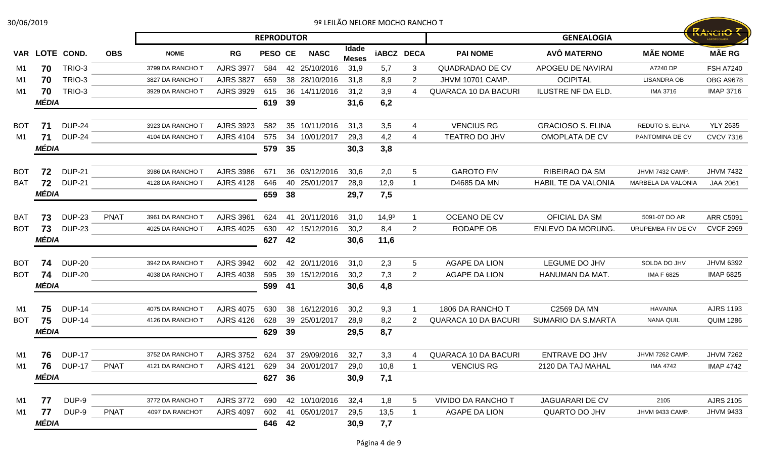| 30/06/2019 |       |                |             |                  |                  |                   |    |                                  |                       | 9º LEILÃO NELORE MOCHO RANCHO T |                |                             |                            |                        |                                       |
|------------|-------|----------------|-------------|------------------|------------------|-------------------|----|----------------------------------|-----------------------|---------------------------------|----------------|-----------------------------|----------------------------|------------------------|---------------------------------------|
|            |       |                |             |                  |                  | <b>REPRODUTOR</b> |    |                                  |                       |                                 |                |                             | <b>GENEALOGIA</b>          |                        | <b>RANCHO 7</b><br><b>GROPECUÁRIA</b> |
|            |       | VAR LOTE COND. | <b>OBS</b>  | <b>NOME</b>      | RG               | PESO CE           |    | <b>NASC</b>                      | Idade<br><b>Meses</b> | <b>iABCZ DECA</b>               |                | <b>PAI NOME</b>             | AVÔ MATERNO                | <b>MÃE NOME</b>        | <b>MÃE RG</b>                         |
| M1         | 70    | TRIO-3         |             | 3799 DA RANCHO T | <b>AJRS 3977</b> | 584               |    | 42 25/10/2016                    | 31,9                  | 5,7                             | 3              | QUADRADAO DE CV             | APOGEU DE NAVIRAI          | A7240 DP               | <b>FSH A7240</b>                      |
| M1         | 70    | TRIO-3         |             | 3827 DA RANCHO T | <b>AJRS 3827</b> | 659               |    | 38 28/10/2016                    | 31,8                  | 8,9                             | $\overline{2}$ | JHVM 10701 CAMP.            | <b>OCIPITAL</b>            | <b>LISANDRA OB</b>     | <b>OBG A9678</b>                      |
| M1         | 70    | TRIO-3         |             | 3929 DA RANCHO T | <b>AJRS 3929</b> | 615               |    | 36 14/11/2016                    | 31,2                  | 3,9                             | 4              | <b>QUARACA 10 DA BACURI</b> | <b>ILUSTRE NF DA ELD</b>   | <b>IMA 3716</b>        | <b>IMAP 3716</b>                      |
|            | MÉDIA |                |             |                  |                  | 619               | 39 |                                  | 31,6                  | 6,2                             |                |                             |                            |                        |                                       |
| <b>BOT</b> | 71    | <b>DUP-24</b>  |             | 3923 DA RANCHO T | <b>AJRS 3923</b> | 582               |    | 35 10/11/2016                    | 31,3                  | 3,5                             | 4              | <b>VENCIUS RG</b>           | <b>GRACIOSO S. ELINA</b>   | <b>REDUTO S. ELINA</b> | <b>YLY 2635</b>                       |
| M1         | 71    | <b>DUP-24</b>  |             | 4104 DA RANCHO T | <b>AJRS 4104</b> | 575               | 34 | 10/01/2017                       | 29,3                  | 4,2                             | 4              | TEATRO DO JHV               | OMOPLATA DE CV             | PANTOMINA DE CV        | <b>CVCV 7316</b>                      |
|            | MÉDIA |                |             |                  |                  | 579               | 35 |                                  | 30,3                  | 3,8                             |                |                             |                            |                        |                                       |
| <b>BOT</b> | 72    | <b>DUP-21</b>  |             | 3986 DA RANCHO T | <b>AJRS 3986</b> | 671               |    | 36 03/12/2016                    | 30,6                  | 2,0                             | 5              | <b>GAROTO FIV</b>           | RIBEIRAO DA SM             | JHVM 7432 CAMP.        | <b>JHVM 7432</b>                      |
| <b>BAT</b> | 72    | <b>DUP-21</b>  |             | 4128 DA RANCHO T | <b>AJRS 4128</b> | 646               |    | 40 25/01/2017                    | 28,9                  | 12,9                            | 1              | D4685 DA MN                 | <b>HABIL TE DA VALONIA</b> | MARBELA DA VALONIA     | <b>JAA 2061</b>                       |
|            | MÉDIA |                |             |                  |                  | 659               | 38 |                                  | 29,7                  | 7,5                             |                |                             |                            |                        |                                       |
| BAT        | 73    | <b>DUP-23</b>  | <b>PNAT</b> | 3961 DA RANCHO T | <b>AJRS 3961</b> | 624               |    | 41 20/11/2016                    | 31,0                  | $14,9^3$                        | 1              | OCEANO DE CV                | <b>OFICIAL DA SM</b>       | 5091-07 DO AR          | <b>ARR C5091</b>                      |
| <b>BOT</b> | 73    | <b>DUP-23</b>  |             | 4025 DA RANCHO T | <b>AJRS 4025</b> | 630               |    | 42 15/12/2016                    | 30,2                  | 8,4                             | $\mathbf{2}$   | <b>RODAPE OB</b>            | <b>ENLEVO DA MORUNG</b>    | URUPEMBA FIV DE CV     | <b>CVCF 2969</b>                      |
|            | MÉDIA |                |             |                  |                  | 627               | 42 |                                  | 30,6                  | 11,6                            |                |                             |                            |                        |                                       |
| <b>BOT</b> | 74    | <b>DUP-20</b>  |             | 3942 DA RANCHO T | <b>AJRS 3942</b> | 602               |    | 42 20/11/2016                    | 31,0                  | 2,3                             | 5              | <b>AGAPE DA LION</b>        | LEGUME DO JHV              | SOLDA DO JHV           | <b>JHVM 6392</b>                      |
| <b>BOT</b> | 74    | <b>DUP-20</b>  |             | 4038 DA RANCHO T | <b>AJRS 4038</b> | 595               |    | 39 15/12/2016                    | 30,2                  | 7,3                             | $\mathbf{2}$   | <b>AGAPE DA LION</b>        | HANUMAN DA MAT.            | <b>IMA F 6825</b>      | <b>IMAP 6825</b>                      |
|            | MÉDIA |                |             |                  |                  | 599               | 41 |                                  | 30,6                  | 4,8                             |                |                             |                            |                        |                                       |
| M1         | 75    | <b>DUP-14</b>  |             | 4075 DA RANCHO T | <b>AJRS 4075</b> | 630               |    | 38 16/12/2016                    | 30,2                  | 9,3                             |                | 1806 DA RANCHO T            | <b>C2569 DA MN</b>         | <b>HAVAINA</b>         | <b>AJRS 1193</b>                      |
| <b>BOT</b> | 75    | <b>DUP-14</b>  |             | 4126 DA RANCHO T | <b>AJRS 4126</b> | 628               |    | 39 25/01/2017                    | 28,9                  | 8,2                             | 2              | <b>QUARACA 10 DA BACURI</b> | <b>SUMARIO DA S.MARTA</b>  | <b>NANA QUIL</b>       | <b>QUIM 1286</b>                      |
|            | MÉDIA |                |             |                  |                  | 629               | 39 |                                  | 29,5                  | 8,7                             |                |                             |                            |                        |                                       |
| M1         |       | 76 DUP-17      |             | 3752 DA RANCHO T |                  |                   |    | AJRS 3752 624 37 29/09/2016 32,7 |                       | 3,3                             |                | 4 QUARACA 10 DA BACURI      | ENTRAVE DO JHV             | JHVM 7262 CAMP.        | <b>JHVM 7262</b>                      |
| M1         | 76    | <b>DUP-17</b>  | <b>PNAT</b> | 4121 DA RANCHO T | <b>AJRS 4121</b> | 629               |    | 34 20/01/2017                    | 29,0                  | 10,8                            | 1              | <b>VENCIUS RG</b>           | 2120 DA TAJ MAHAL          | <b>IMA 4742</b>        | <b>IMAP 4742</b>                      |
|            | MÉDIA |                |             |                  |                  | 627               | 36 |                                  | 30,9                  | 7,1                             |                |                             |                            |                        |                                       |
| M1         | 77    | DUP-9          |             | 3772 DA RANCHO T | <b>AJRS 3772</b> | 690               |    | 42 10/10/2016                    | 32,4                  | 1,8                             | 5              | <b>VIVIDO DA RANCHO T</b>   | <b>JAGUARARI DE CV</b>     | 2105                   | <b>AJRS 2105</b>                      |
| M1         | 77    | DUP-9          | <b>PNAT</b> | 4097 DA RANCHOT  | <b>AJRS 4097</b> | 602               |    | 41 05/01/2017                    | 29,5                  | 13,5                            | 1              | AGAPE DA LION               | <b>QUARTO DO JHV</b>       | JHVM 9433 CAMP.        | <b>JHVM 9433</b>                      |
|            | MÉDIA |                |             |                  |                  | 646 42            |    |                                  | 30,9                  | 7,7                             |                |                             |                            |                        |                                       |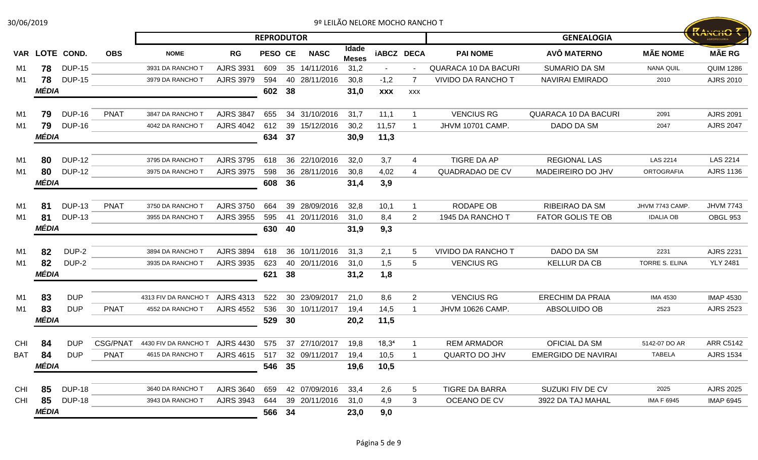| 30/06/2019     |       |                |                 |                      |                             |                   |    |               |                       | 9º LEILÃO NELORE MOCHO RANCHO T |                         |                             |                             |                       |                  |
|----------------|-------|----------------|-----------------|----------------------|-----------------------------|-------------------|----|---------------|-----------------------|---------------------------------|-------------------------|-----------------------------|-----------------------------|-----------------------|------------------|
|                |       |                |                 |                      |                             | <b>REPRODUTOR</b> |    |               |                       |                                 |                         |                             | <b>GENEALOGIA</b>           |                       | <b>ZANCHO 7</b>  |
|                |       | VAR LOTE COND. | <b>OBS</b>      | <b>NOME</b>          | <b>RG</b>                   | PESO CE           |    | <b>NASC</b>   | Idade<br><b>Meses</b> | <b>iABCZ DECA</b>               |                         | <b>PAI NOME</b>             | AVÔ MATERNO                 | <b>MÃE NOME</b>       | <b>MÃE RG</b>    |
| M1             | 78    | <b>DUP-15</b>  |                 | 3931 DA RANCHO 1     | <b>AJRS 3931</b>            | 609               |    | 35 14/11/2016 | 31,2                  |                                 |                         | <b>QUARACA 10 DA BACURI</b> | <b>SUMARIO DA SM</b>        | <b>NANA QUIL</b>      | <b>QUIM 1286</b> |
| M1             | 78    | <b>DUP-15</b>  |                 | 3979 DA RANCHO T     | <b>AJRS 3979</b>            | 594               |    | 40 28/11/2016 | 30,8                  | $-1,2$                          |                         | <b>VIVIDO DA RANCHO T</b>   | <b>NAVIRAI EMIRADO</b>      | 2010                  | AJRS 2010        |
|                | MÉDIA |                |                 |                      |                             | 602               | 38 |               | 31,0                  | <b>XXX</b>                      | <b>XXX</b>              |                             |                             |                       |                  |
| M1             | 79    | <b>DUP-16</b>  | <b>PNAT</b>     | 3847 DA RANCHO T     | <b>AJRS 3847</b>            | 655               |    | 34 31/10/2016 | 31,7                  | 11,1                            | -1                      | <b>VENCIUS RG</b>           | <b>QUARACA 10 DA BACURI</b> | 2091                  | <b>AJRS 2091</b> |
| M1             | 79    | <b>DUP-16</b>  |                 | 4042 DA RANCHO T     | <b>AJRS 4042</b>            | 612               |    | 39 15/12/2016 | 30,2                  | 11,57                           | -1                      | <b>JHVM 10701 CAMP.</b>     | DADO DA SM                  | 2047                  | <b>AJRS 2047</b> |
|                | MÉDIA |                |                 |                      |                             | 634               | 37 |               | 30,9                  | 11,3                            |                         |                             |                             |                       |                  |
| M1             | 80    | <b>DUP-12</b>  |                 | 3795 DA RANCHO T     | <b>AJRS 3795</b>            | 618               |    | 36 22/10/2016 | 32,0                  | 3,7                             | 4                       | <b>TIGRE DA AP</b>          | <b>REGIONAL LAS</b>         | <b>LAS 2214</b>       | LAS 2214         |
| M1             | 80    | <b>DUP-12</b>  |                 | 3975 DA RANCHO T     | <b>AJRS 3975</b>            | 598               |    | 36 28/11/2016 | 30,8                  | 4,02                            | 4                       | QUADRADAO DE CV             | MADEIREIRO DO JHV           | <b>ORTOGRAFIA</b>     | <b>AJRS 1136</b> |
|                | MÉDIA |                |                 |                      |                             | 608               | 36 |               | 31,4                  | 3,9                             |                         |                             |                             |                       |                  |
| M1             | 81    | <b>DUP-13</b>  | <b>PNAT</b>     | 3750 DA RANCHO T     | <b>AJRS 3750</b>            | 664               |    | 39 28/09/2016 | 32,8                  | 10,1                            | $\overline{\mathbf{1}}$ | RODAPE OB                   | <b>RIBEIRAO DA SM</b>       | JHVM 7743 CAMP.       | <b>JHVM 7743</b> |
| M1             | 81    | <b>DUP-13</b>  |                 | 3955 DA RANCHO T     | <b>AJRS 3955</b>            | 595               |    | 41 20/11/2016 | 31,0                  | 8,4                             | $\mathbf{2}$            | 1945 DA RANCHO T            | <b>FATOR GOLIS TE OB</b>    | <b>IDALIA OB</b>      | OBGL 953         |
|                | MÉDIA |                |                 |                      |                             | 630               | 40 |               | 31,9                  | 9,3                             |                         |                             |                             |                       |                  |
| M <sub>1</sub> | 82    | DUP-2          |                 | 3894 DA RANCHO T     | <b>AJRS 3894</b>            | 618               |    | 36 10/11/2016 | 31,3                  | 2,1                             | 5                       | <b>VIVIDO DA RANCHO T</b>   | DADO DA SM                  | 2231                  | <b>AJRS 2231</b> |
| M1             | 82    | DUP-2          |                 | 3935 DA RANCHO T     | <b>AJRS 3935</b>            | 623               |    | 40 20/11/2016 | 31,0                  | 1,5                             | $5\phantom{.0}$         | <b>VENCIUS RG</b>           | <b>KELLUR DA CB</b>         | <b>TORRE S. ELINA</b> | <b>YLY 2481</b>  |
|                | MÉDIA |                |                 |                      |                             | 621               | 38 |               | 31,2                  | 1,8                             |                         |                             |                             |                       |                  |
| M <sub>1</sub> | 83    | <b>DUP</b>     |                 | 4313 FIV DA RANCHO T | <b>AJRS 4313</b>            | 522               |    | 30 23/09/2017 | 21,0                  | 8,6                             | $\overline{2}$          | <b>VENCIUS RG</b>           | <b>ERECHIM DA PRAIA</b>     | <b>IMA 4530</b>       | <b>IMAP 4530</b> |
| M1             | 83    | <b>DUP</b>     | <b>PNAT</b>     | 4552 DA RANCHO T     | <b>AJRS 4552</b>            | 536               |    | 30 10/11/2017 | 19,4                  | 14,5                            | $\overline{\mathbf{1}}$ | <b>JHVM 10626 CAMP.</b>     | ABSOLUIDO OB                | 2523                  | <b>AJRS 2523</b> |
|                | MÉDIA |                |                 |                      |                             | 529               | 30 |               | 20,2                  | 11,5                            |                         |                             |                             |                       |                  |
| <b>CHI</b>     | 84    | <b>DUP</b>     | <b>CSG/PNAT</b> | 4430 FIV DA RANCHO T | <b>AJRS 4430</b>            | 575               |    | 37 27/10/2017 | 19,8                  | 18,3 <sup>4</sup>               | -1                      | <b>REM ARMADOR</b>          | OFICIAL DA SM               | 5142-07 DO AR         | <b>ARR C5142</b> |
| <b>BAT</b>     | 84    | <b>DUP</b>     | <b>PNAT</b>     | 4615 DA RANCHO T     | AJRS 4615 517 32 09/11/2017 |                   |    |               | 19,4                  | 10,5                            |                         | QUARTO DO JHV               | EMERGIDO DE NAVIRAI         | <b>TABELA</b>         | <b>AJRS 1534</b> |
|                | MÉDIA |                |                 |                      |                             | 546               | 35 |               | 19,6                  | 10,5                            |                         |                             |                             |                       |                  |
| <b>CHI</b>     | 85    | <b>DUP-18</b>  |                 | 3640 DA RANCHO T     | <b>AJRS 3640</b>            | 659               |    | 42 07/09/2016 | 33,4                  | 2,6                             | 5                       | <b>TIGRE DA BARRA</b>       | SUZUKI FIV DE CV            | 2025                  | <b>AJRS 2025</b> |
| <b>CHI</b>     | 85    | <b>DUP-18</b>  |                 | 3943 DA RANCHO T     | <b>AJRS 3943</b>            | 644               |    | 39 20/11/2016 | 31,0                  | 4,9                             | 3                       | OCEANO DE CV                | 3922 DA TAJ MAHAL           | <b>IMA F 6945</b>     | <b>IMAP 6945</b> |
|                | MÉDIA |                |                 |                      |                             | 566               | 34 |               | 23,0                  | 9,0                             |                         |                             |                             |                       |                  |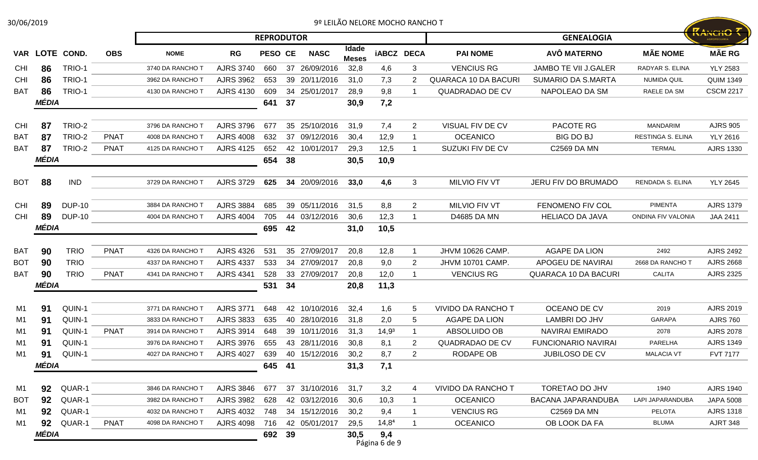|  |  |  |  | 9º LEILAO NELORE MOCHO RANCHO ' |
|--|--|--|--|---------------------------------|
|--|--|--|--|---------------------------------|

| 30/06/2019      |       |               |             |                  |                  |                   |    |               |                       | 9º LEILÃO NELORE MOCHO RANCHO T |                |                             |                             |                    |                  |
|-----------------|-------|---------------|-------------|------------------|------------------|-------------------|----|---------------|-----------------------|---------------------------------|----------------|-----------------------------|-----------------------------|--------------------|------------------|
|                 |       |               |             |                  |                  | <b>REPRODUTOR</b> |    |               |                       |                                 |                |                             | <b>GENEALOGIA</b>           |                    | KANCHO           |
| <b>VAR</b>      |       | LOTE COND.    | <b>OBS</b>  | <b>NOME</b>      | <b>RG</b>        | <b>PESO CE</b>    |    | <b>NASC</b>   | Idade<br><b>Meses</b> | <b>iABCZ DECA</b>               |                | <b>PAI NOME</b>             | <b>AVÔ MATERNO</b>          | <b>MÃE NOME</b>    | <b>MÃE RG</b>    |
| <b>CHI</b>      | 86    | TRIO-1        |             | 3740 DA RANCHO 1 | <b>AJRS 3740</b> | 660               |    | 37 26/09/2016 | 32,8                  | 4,6                             | 3              | <b>VENCIUS RG</b>           | <b>JAMBO TE VII J.GALER</b> | RADYAR S. ELINA    | <b>YLY 2583</b>  |
| <b>CHI</b>      | 86    | TRIO-1        |             | 3962 DA RANCHO 1 | <b>AJRS 3962</b> | 653               |    | 39 20/11/2016 | 31,0                  | 7,3                             | 2              | <b>QUARACA 10 DA BACURI</b> | <b>SUMARIO DA S.MARTA</b>   | NUMIDA QUIL        | <b>QUIM 1349</b> |
| <b>BAT</b>      | 86    | TRIO-1        |             | 4130 DA RANCHO T | <b>AJRS 4130</b> | 609               |    | 34 25/01/2017 | 28,9                  | 9,8                             |                | <b>QUADRADAO DE CV</b>      | NAPOLEAO DA SM              | RAELE DA SM        | <b>CSCM 2217</b> |
|                 | MÉDIA |               |             |                  |                  | 641               | 37 |               | 30,9                  | 7,2                             |                |                             |                             |                    |                  |
| <b>CHI</b>      | 87    | TRIO-2        |             | 3796 DA RANCHO T | <b>AJRS 3796</b> | 677               |    | 35 25/10/2016 | 31,9                  | 7,4                             | $\overline{2}$ | VISUAL FIV DE CV            | PACOTE RG                   | <b>MANDARIM</b>    | <b>AJRS 905</b>  |
| BA <sub>1</sub> | 87    | <b>TRIO-2</b> | <b>PNAT</b> | 4008 DA RANCHO T | <b>AJRS 4008</b> | 632               |    | 37 09/12/2016 | 30,4                  | 12,9                            |                | <b>OCEANICO</b>             | <b>BIG DO BJ</b>            | RESTINGA S. ELINA  | <b>YLY 2616</b>  |
| <b>BAT</b>      | 87    | TRIO-2        | <b>PNAT</b> | 4125 DA RANCHO T | <b>AJRS 4125</b> | 652               | 42 | 10/01/2017    | 29,3                  | 12,5                            |                | SUZUKI FIV DE CV            | C2569 DA MN                 | <b>TERMAL</b>      | <b>AJRS 1330</b> |
|                 | MÉDIA |               |             |                  |                  | 654               | 38 |               | 30,5                  | 10,9                            |                |                             |                             |                    |                  |
| <b>BOT</b>      | 88    | <b>IND</b>    |             | 3729 DA RANCHO T | <b>AJRS 3729</b> | 625               |    | 34 20/09/2016 | 33,0                  | 4,6                             | 3              | <b>MILVIO FIV VT</b>        | JERU FIV DO BRUMADO         | RENDADA S. ELINA   | <b>YLY 2645</b>  |
|                 |       |               |             |                  |                  |                   |    |               |                       |                                 |                |                             |                             |                    |                  |
| <b>CHI</b>      | 89    | <b>DUP-10</b> |             | 3884 DA RANCHO T | <b>AJRS 3884</b> | 685               |    | 39 05/11/2016 | 31,5                  | 8,8                             | $\overline{2}$ | <b>MILVIO FIV VT</b>        | <b>FENOMENO FIV COL</b>     | PIMENTA            | <b>AJRS 1379</b> |
| <b>CHI</b>      | 89    | <b>DUP-10</b> |             | 4004 DA RANCHO 1 | <b>AJRS 4004</b> | 705               |    | 44 03/12/2016 | 30,6                  | 12,3                            |                | D4685 DA MN                 | <b>HELIACO DA JAVA</b>      | ONDINA FIV VALONIA | JAA 2411         |
|                 | MÉDIA |               |             |                  |                  | 695               | 42 |               | 31,0                  | 10,5                            |                |                             |                             |                    |                  |
| <b>BAT</b>      | 90    | <b>TRIO</b>   | <b>PNAT</b> | 4326 DA RANCHO T | <b>AJRS 4326</b> | 531               |    | 35 27/09/2017 | 20,8                  | 12,8                            |                | JHVM 10626 CAMP.            | <b>AGAPE DA LION</b>        | 2492               | <b>AJRS 2492</b> |
| <b>BOT</b>      | 90    | <b>TRIO</b>   |             | 4337 DA RANCHO T | <b>AJRS 4337</b> | 533               |    | 34 27/09/2017 | 20,8                  | 9,0                             | 2              | <b>JHVM 10701 CAMP.</b>     | APOGEU DE NAVIRAI           | 2668 DA RANCHO T   | <b>AJRS 2668</b> |
| <b>BAT</b>      | 90    | <b>TRIO</b>   | <b>PNAT</b> | 4341 DA RANCHO T | <b>AJRS 4341</b> | 528               | 33 | 27/09/2017    | 20,8                  | 12,0                            |                | <b>VENCIUS RG</b>           | <b>QUARACA 10 DA BACURI</b> | <b>CALITA</b>      | <b>AJRS 2325</b> |
|                 | MÉDIA |               |             |                  |                  | 531               | 34 |               | 20,8                  | 11,3                            |                |                             |                             |                    |                  |
| M1              | 91    | QUIN-1        |             | 3771 DA RANCHO T | <b>AJRS 3771</b> | 648               |    | 42 10/10/2016 | 32,4                  | 1,6                             | 5              | <b>VIVIDO DA RANCHO T</b>   | OCEANO DE CV                | 2019               | <b>AJRS 2019</b> |
| M1              | 91    | QUIN-1        |             | 3833 DA RANCHO 1 | <b>AJRS 3833</b> | 635               |    | 40 28/10/2016 | 31,8                  | 2,0                             | 5              | <b>AGAPE DA LION</b>        | <b>LAMBRI DO JHV</b>        | <b>GARAPA</b>      | <b>AJRS 760</b>  |
| M1              | 91    | QUIN-1        | <b>PNAT</b> | 3914 DA RANCHO 1 | <b>AJRS 3914</b> | 648               |    | 39 10/11/2016 | 31,3                  | 14,9 <sup>3</sup>               |                | ABSOLUIDO OB                | <b>NAVIRAI EMIRADO</b>      | 2078               | <b>AJRS 2078</b> |
| M <sub>1</sub>  | 91    | QUIN-1        |             | 3976 DA RANCHO T | <b>AJRS 3976</b> | 655               |    | 43 28/11/2016 | 30,8                  | 8,1                             | $\mathbf{2}$   | <b>QUADRADAO DE CV</b>      | <b>FUNCIONARIO NAVIRAI</b>  | PARELHA            | <b>AJRS 1349</b> |
| M <sub>1</sub>  | 91    | QUIN-1        |             | 4027 DA RANCHO T | <b>AJRS 4027</b> | 639               |    | 40 15/12/2016 | 30,2                  | 8,7                             | $\mathbf{2}$   | <b>RODAPE OB</b>            | JUBILOSO DE CV              | <b>MALACIA VT</b>  | <b>FVT 7177</b>  |
|                 | MÉDIA |               |             |                  |                  | 645 41            |    |               | 31,3                  | 7,1                             |                |                             |                             |                    |                  |
| M1              | 92    | QUAR-1        |             | 3846 DA RANCHO T | <b>AJRS 3846</b> | 677               |    | 37 31/10/2016 | 31,7                  | 3,2                             |                | VIVIDO DA RANCHO T          | TORETAO DO JHV              | 1940               | <b>AJRS 1940</b> |
| <b>BOT</b>      | 92    | QUAR-1        |             | 3982 DA RANCHO T | AJRS 3982        | 628               |    | 42 03/12/2016 | 30.6                  | 10,3                            |                | <b>OCEANICO</b>             | <b>BACANA JAPARANDUBA</b>   | LAPI JAPARANDUBA   | <b>JAPA 5008</b> |
| M1              | 92    | QUAR-1        |             | 4032 DA RANCHO T | AJRS 4032        | 748               |    | 34 15/12/2016 | 30,2                  | 9,4                             |                | <b>VENCIUS RG</b>           | C2569 DA MN                 | <b>PELOTA</b>      | <b>AJRS 1318</b> |
| M1              | 92    | QUAR-1        | <b>PNAT</b> | 4098 DA RANCHO T | <b>AJRS 4098</b> | 716               |    | 42 05/01/2017 | 29,5                  | $14,8^4$                        |                | <b>OCEANICO</b>             | OB LOOK DA FA               | BLUMA              | <b>AJRT 348</b>  |
|                 | MÉDIA |               |             |                  |                  | 692 39            |    |               | 30,5                  | 9,4<br>Página 6 de 9            |                |                             |                             |                    |                  |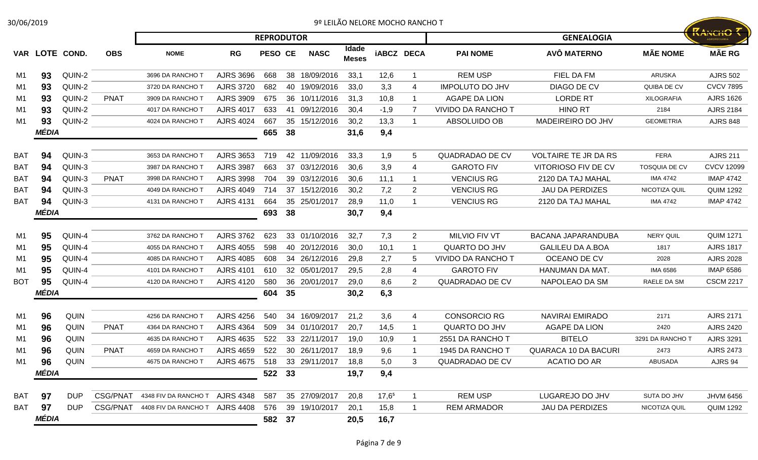| 30/06/2019     |       |             |             |                               |                  |                   |    |               |                       |                   | 9º LEILÃO NELORE MOCHO RANCHO T |                           |                             |                      |                                        |
|----------------|-------|-------------|-------------|-------------------------------|------------------|-------------------|----|---------------|-----------------------|-------------------|---------------------------------|---------------------------|-----------------------------|----------------------|----------------------------------------|
|                |       |             |             |                               |                  | <b>REPRODUTOR</b> |    |               |                       |                   |                                 |                           | <b>GENEALOGIA</b>           |                      | <b>RANCHO T</b><br><b>AGROPECUÁRIA</b> |
| VAR            |       | LOTE COND.  | <b>OBS</b>  | <b>NOME</b>                   | RG               | <b>PESO CE</b>    |    | <b>NASC</b>   | Idade<br><b>Meses</b> | <b>iABCZ DECA</b> |                                 | <b>PAI NOME</b>           | AVÔ MATERNO                 | <b>MÃE NOME</b>      | <b>MÃE RG</b>                          |
| M1             | 93    | QUIN-2      |             | 3696 DA RANCHO T              | <b>AJRS 3696</b> | 668               |    | 38 18/09/2016 | 33,1                  | 12,6              | $\mathbf{1}$                    | <b>REM USP</b>            | FIEL DA FM                  | ARUSKA               | <b>AJRS 502</b>                        |
| M1             | 93    | QUIN-2      |             | 3720 DA RANCHO T              | <b>AJRS 3720</b> | 682               |    | 40 19/09/2016 | 33,0                  | 3,3               | 4                               | <b>IMPOLUTO DO JHV</b>    | DIAGO DE CV                 | QUIBA DE CV          | <b>CVCV 7895</b>                       |
| M1             | 93    | QUIN-2      | <b>PNAT</b> | 3909 DA RANCHO T              | <b>AJRS 3909</b> | 675               |    | 36 10/11/2016 | 31,3                  | 10,8              | 1                               | AGAPE DA LION             | <b>LORDE RT</b>             | XILOGRAFIA           | <b>AJRS 1626</b>                       |
| M1             | 93    | QUIN-2      |             | 4017 DA RANCHO T              | <b>AJRS 4017</b> | 633               |    | 41 09/12/2016 | 30,4                  | $-1,9$            |                                 | <b>VIVIDO DA RANCHO T</b> | <b>HINO RT</b>              | 2184                 | <b>AJRS 2184</b>                       |
| M <sub>1</sub> | 93    | QUIN-2      |             | 4024 DA RANCHO T              | <b>AJRS 4024</b> | 667               |    | 35 15/12/2016 | 30,2                  | 13,3              | 1                               | ABSOLUIDO OB              | MADEIREIRO DO JHV           | <b>GEOMETRIA</b>     | <b>AJRS 848</b>                        |
|                | MÉDIA |             |             |                               |                  | 665               | 38 |               | 31,6                  | 9,4               |                                 |                           |                             |                      |                                        |
| <b>BAT</b>     | 94    | QUIN-3      |             | 3653 DA RANCHO T              | <b>AJRS 3653</b> | 719               |    | 42 11/09/2016 | 33,3                  | 1,9               | 5                               | QUADRADAO DE CV           | <b>VOLTAIRE TE JR DA RS</b> | <b>FERA</b>          | <b>AJRS 211</b>                        |
| <b>BAT</b>     | 94    | QUIN-3      |             | 3987 DA RANCHO T              | <b>AJRS 3987</b> | 663               |    | 37 03/12/2016 | 30,6                  | 3,9               | 4                               | <b>GAROTO FIV</b>         | VITORIOSO FIV DE CV         | <b>TOSQUIA DE CV</b> | <b>CVCV 12099</b>                      |
| <b>BAT</b>     | 94    | QUIN-3      | <b>PNAT</b> | 3998 DA RANCHO T              | <b>AJRS 3998</b> | 704               |    | 39 03/12/2016 | 30,6                  | 11,1              | 1                               | <b>VENCIUS RG</b>         | 2120 DA TAJ MAHAL           | IMA 4742             | <b>IMAP 4742</b>                       |
| <b>BAT</b>     | 94    | QUIN-3      |             | 4049 DA RANCHO T              | <b>AJRS 4049</b> | 714               |    | 37 15/12/2016 | 30,2                  | 7,2               | $\overline{2}$                  | <b>VENCIUS RG</b>         | <b>JAU DA PERDIZES</b>      | NICOTIZA QUIL        | <b>QUIM 1292</b>                       |
| <b>BAT</b>     | 94    | QUIN-3      |             | 4131 DA RANCHO T              | <b>AJRS 4131</b> | 664               |    | 35 25/01/2017 | 28,9                  | 11,0              | 1                               | <b>VENCIUS RG</b>         | 2120 DA TAJ MAHAL           | <b>IMA 4742</b>      | <b>IMAP 4742</b>                       |
|                | MÉDIA |             |             |                               |                  | 693               | 38 |               | 30,7                  | 9,4               |                                 |                           |                             |                      |                                        |
| M1             | 95    | QUIN-4      |             | 3762 DA RANCHO T              | <b>AJRS 3762</b> | 623               |    | 33 01/10/2016 | 32,7                  | 7,3               | $\overline{2}$                  | MILVIO FIV VT             | <b>BACANA JAPARANDUBA</b>   | <b>NERY QUIL</b>     | <b>QUIM 1271</b>                       |
| M1             | 95    | QUIN-4      |             | 4055 DA RANCHO T              | <b>AJRS 4055</b> | 598               |    | 40 20/12/2016 | 30,0                  | 10,1              | 1                               | <b>QUARTO DO JHV</b>      | <b>GALILEU DA A.BOA</b>     | 1817                 | <b>AJRS 1817</b>                       |
| M1             | 95    | QUIN-4      |             | 4085 DA RANCHO T              | <b>AJRS 4085</b> | 608               |    | 34 26/12/2016 | 29,8                  | 2,7               | 5                               | <b>VIVIDO DA RANCHO T</b> | OCEANO DE CV                | 2028                 | <b>AJRS 2028</b>                       |
| M1             | 95    | QUIN-4      |             | 4101 DA RANCHO T              | <b>AJRS 4101</b> | 610               |    | 32 05/01/2017 | 29,5                  | 2,8               | 4                               | <b>GAROTO FIV</b>         | HANUMAN DA MAT.             | <b>IMA 6586</b>      | <b>IMAP 6586</b>                       |
| <b>BOT</b>     | 95    | QUIN-4      |             | 4120 DA RANCHO T              | <b>AJRS 4120</b> | 580               |    | 36 20/01/2017 | 29,0                  | 8,6               | 2                               | QUADRADAO DE CV           | NAPOLEAO DA SM              | RAELE DA SM          | <b>CSCM 2217</b>                       |
|                | MÉDIA |             |             |                               |                  | 604               | 35 |               | 30,2                  | 6,3               |                                 |                           |                             |                      |                                        |
| M1             | 96    | QUIN        |             | 4256 DA RANCHO T              | <b>AJRS 4256</b> | 540               | 34 | 16/09/2017    | 21,2                  | 3,6               | 4                               | <b>CONSORCIO RG</b>       | <b>NAVIRAI EMIRADO</b>      | 2171                 | <b>AJRS 2171</b>                       |
| M <sub>1</sub> | 96    | <b>QUIN</b> | <b>PNAT</b> | 4364 DA RANCHO T              | <b>AJRS 4364</b> | 509               |    | 34 01/10/2017 | 20,7                  | 14,5              | 1                               | QUARTO DO JHV             | <b>AGAPE DA LION</b>        | 2420                 | <b>AJRS 2420</b>                       |
| M1             | 96    | <b>QUIN</b> |             | 4635 DA RANCHO T              | <b>AJRS 4635</b> | 522               |    | 33 22/11/2017 | 19,0                  | 10,9              | 1                               | 2551 DA RANCHO T          | <b>BITELO</b>               | 3291 DA RANCHO T     | <b>AJRS 3291</b>                       |
| M1             | 96    | <b>QUIN</b> | <b>PNAT</b> | 4659 DA RANCHO T              | <b>AJRS 4659</b> | 522               |    | 30 26/11/2017 | 18,9                  | 9,6               |                                 | 1945 DA RANCHO T          | <b>QUARACA 10 DA BACURI</b> | 2473                 | <b>AJRS 2473</b>                       |
| M1             | 96    | <b>QUIN</b> |             | 4675 DA RANCHO T              | AJRS 4675        | 518               |    | 33 29/11/2017 | 18,8                  | 5,0               | 3                               | QUADRADAO DE CV           | ACATIO DO AR                | ABUSADA              | AJRS 94                                |
|                | MÉDIA |             |             |                               |                  | 522 33            |    |               | 19,7                  | 9,4               |                                 |                           |                             |                      |                                        |
| BAT            | 97    | <b>DUP</b>  | CSG/PNAT    | 4348 FIV DA RANCHO T          | <b>AJRS 4348</b> | 587               |    | 35 27/09/2017 | 20,8                  | $17,6^5$          | $\mathbf 1$                     | <b>REM USP</b>            | LUGAREJO DO JHV             | SUTA DO JHV          | <b>JHVM 6456</b>                       |
| <b>BAT</b>     | 97    | <b>DUP</b>  |             | CSG/PNAT 4408 FIV DA RANCHO T | <b>AJRS 4408</b> | 576               |    | 39 19/10/2017 | 20,1                  | 15,8              | 1                               | <b>REM ARMADOR</b>        | <b>JAU DA PERDIZES</b>      | NICOTIZA QUIL        | <b>QUIM 1292</b>                       |
|                | MÉDIA |             |             |                               |                  | 582 37            |    |               | 20,5                  | 16,7              |                                 |                           |                             |                      |                                        |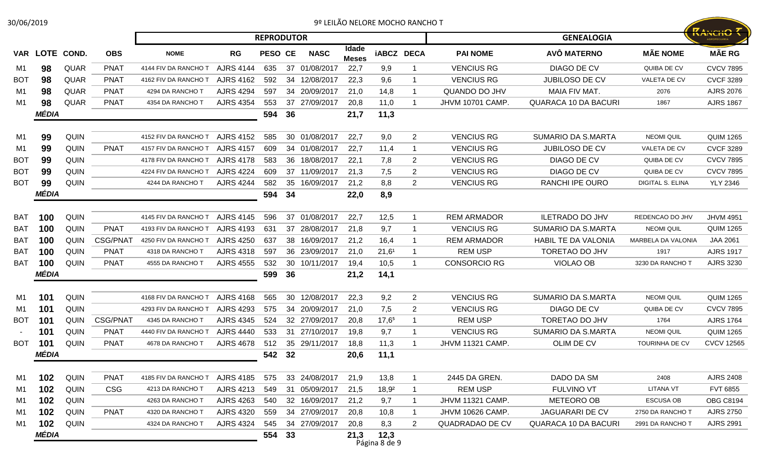| 30/06/2019      |            |             |                 |                      |                  |                   |    |               |                       |                       | 9º LEILÃO NELORE MOCHO RANCHO T |                         |                             |                         |                   |
|-----------------|------------|-------------|-----------------|----------------------|------------------|-------------------|----|---------------|-----------------------|-----------------------|---------------------------------|-------------------------|-----------------------------|-------------------------|-------------------|
|                 |            |             |                 |                      |                  | <b>REPRODUTOR</b> |    |               |                       |                       |                                 |                         | <b>GENEALOGIA</b>           |                         | <b>KANCHO</b>     |
| <b>VAR</b>      | LOTE COND. |             | <b>OBS</b>      | <b>NOME</b>          | RG               | <b>PESO CE</b>    |    | <b>NASC</b>   | Idade<br><b>Meses</b> |                       | <b>iABCZ DECA</b>               | <b>PAI NOME</b>         | AVÔ MATERNO                 | <b>MÃE NOME</b>         | <b>MÃE RG</b>     |
| M1              | 98         | <b>QUAR</b> | <b>PNAT</b>     | 4144 FIV DA RANCHO T | <b>AJRS 4144</b> | 635               |    | 37 01/08/2017 | 22,7                  | 9,9                   |                                 | <b>VENCIUS RG</b>       | <b>DIAGO DE CV</b>          | QUIBA DE CV             | <b>CVCV 7895</b>  |
| <b>BOT</b>      | 98         | <b>QUAR</b> | <b>PNAT</b>     | 4162 FIV DA RANCHO T | <b>AJRS 4162</b> | 592               |    | 34 12/08/2017 | 22,3                  | 9,6                   |                                 | <b>VENCIUS RG</b>       | <b>JUBILOSO DE CV</b>       | VALETA DE CV            | <b>CVCF 3289</b>  |
| M1              | 98         | QUAR        | <b>PNAT</b>     | 4294 DA RANCHO T     | <b>AJRS 4294</b> | 597               |    | 34 20/09/2017 | 21,0                  | 14,8                  |                                 | QUANDO DO JHV           | MAIA FIV MAT.               | 2076                    | <b>AJRS 2076</b>  |
| M1              | 98         | <b>QUAR</b> | <b>PNAT</b>     | 4354 DA RANCHO 1     | <b>AJRS 4354</b> | 553               |    | 37 27/09/2017 | 20,8                  | 11,0                  |                                 | <b>JHVM 10701 CAMP.</b> | <b>QUARACA 10 DA BACURI</b> | 1867                    | <b>AJRS 1867</b>  |
|                 | MÉDIA      |             |                 |                      |                  | 594               | 36 |               | 21,7                  | 11,3                  |                                 |                         |                             |                         |                   |
| M1              | 99         | <b>QUIN</b> |                 | 4152 FIV DA RANCHO T | <b>AJRS 4152</b> | 585               |    | 30 01/08/2017 | 22,7                  | 9,0                   | $\overline{2}$                  | <b>VENCIUS RG</b>       | SUMARIO DA S.MARTA          | <b>NEOMI QUIL</b>       | <b>QUIM 1265</b>  |
| M1              | 99         | <b>QUIN</b> | <b>PNAT</b>     | 4157 FIV DA RANCHO T | <b>AJRS 4157</b> | 609               |    | 34 01/08/2017 | 22,7                  | 11,4                  |                                 | <b>VENCIUS RG</b>       | <b>JUBILOSO DE CV</b>       | VALETA DE CV            | <b>CVCF 3289</b>  |
| <b>BOT</b>      | 99         | <b>QUIN</b> |                 | 4178 FIV DA RANCHO T | <b>AJRS 4178</b> | 583               |    | 36 18/08/2017 | 22,1                  | 7,8                   | 2                               | <b>VENCIUS RG</b>       | DIAGO DE CV                 | QUIBA DE CV             | <b>CVCV 7895</b>  |
| BO <sub>T</sub> | 99         | <b>QUIN</b> |                 | 4224 FIV DA RANCHO T | <b>AJRS 4224</b> | 609               |    | 37 11/09/2017 | 21,3                  | 7,5                   | 2                               | <b>VENCIUS RG</b>       | DIAGO DE CV                 | QUIBA DE CV             | <b>CVCV 7895</b>  |
| <b>BOT</b>      | 99         | QUIN        |                 | 4244 DA RANCHO T     | <b>AJRS 4244</b> | 582               | 35 | 16/09/2017    | 21,2                  | 8,8                   | $\overline{2}$                  | <b>VENCIUS RG</b>       | RANCHI IPE OURO             | <b>DIGITAL S. ELINA</b> | <b>YLY 2346</b>   |
|                 | MÉDIA      |             |                 |                      |                  | 594               | 34 |               | 22,0                  | 8,9                   |                                 |                         |                             |                         |                   |
|                 |            |             |                 |                      |                  |                   |    |               |                       |                       |                                 |                         |                             |                         |                   |
| <b>BAT</b>      | 100        | QUIN        |                 | 4145 FIV DA RANCHO T | <b>AJRS 4145</b> | 596               |    | 37 01/08/2017 | 22,7                  | 12,5                  |                                 | <b>REM ARMADOR</b>      | <b>ILETRADO DO JHV</b>      | REDENCAO DO JHV         | <b>JHVM 4951</b>  |
| <b>BAT</b>      | 100        | <b>QUIN</b> | <b>PNAT</b>     | 4193 FIV DA RANCHO T | <b>AJRS 4193</b> | 631               |    | 37 28/08/2017 | 21,8                  | 9,7                   |                                 | <b>VENCIUS RG</b>       | <b>SUMARIO DA S.MARTA</b>   | <b>NEOMI QUIL</b>       | <b>QUIM 1265</b>  |
| <b>BAT</b>      | 100        | <b>QUIN</b> | <b>CSG/PNAT</b> | 4250 FIV DA RANCHO T | <b>AJRS 4250</b> | 637               |    | 38 16/09/2017 | 21,2                  | 16,4                  |                                 | <b>REM ARMADOR</b>      | <b>HABIL TE DA VALONIA</b>  | MARBELA DA VALONIA      | JAA 2061          |
| <b>BAT</b>      | 100        | QUIN        | <b>PNAT</b>     | 4318 DA RANCHO 1     | <b>AJRS 4318</b> | 597               |    | 36 23/09/2017 | 21,0                  | 21,6 <sup>1</sup>     |                                 | <b>REM USP</b>          | TORETAO DO JHV              | 1917                    | <b>AJRS 1917</b>  |
| <b>BAT</b>      | 100        | <b>QUIN</b> | <b>PNAT</b>     | 4555 DA RANCHO 1     | <b>AJRS 4555</b> | 532               | 30 | 10/11/2017    | 19,4                  | 10,5                  |                                 | <b>CONSORCIO RG</b>     | VIOLAO OB                   | 3230 DA RANCHO T        | AJRS 3230         |
|                 | MÉDIA      |             |                 |                      |                  | 599               | 36 |               | 21,2                  | 14,1                  |                                 |                         |                             |                         |                   |
| M1              | 101        | QUIN        |                 | 4168 FIV DA RANCHO T | <b>AJRS 4168</b> | 565               |    | 30 12/08/2017 | 22,3                  | 9,2                   | $\overline{2}$                  | <b>VENCIUS RG</b>       | SUMARIO DA S.MARTA          | <b>NEOMI QUIL</b>       | <b>QUIM 1265</b>  |
| M1              | 101        | <b>QUIN</b> |                 | 4293 FIV DA RANCHO T | <b>AJRS 4293</b> | 575               |    | 34 20/09/2017 | 21,0                  | 7,5                   | 2                               | <b>VENCIUS RG</b>       | DIAGO DE CV                 | QUIBA DE CV             | <b>CVCV 7895</b>  |
| <b>BOT</b>      | 101        | <b>QUIN</b> | <b>CSG/PNAT</b> | 4345 DA RANCHO T     | <b>AJRS 4345</b> | 524               |    | 32 27/09/2017 | 20,8                  | 17,6 <sup>5</sup>     |                                 | <b>REM USP</b>          | TORETAO DO JHV              | 1764                    | <b>AJRS 1764</b>  |
|                 | 101        | <b>QUIN</b> | <b>PNAT</b>     | 4440 FIV DA RANCHO T | <b>AJRS 4440</b> | 533               |    | 31 27/10/2017 | 19,8                  | 9,7                   |                                 | <b>VENCIUS RG</b>       | <b>SUMARIO DA S.MARTA</b>   | <b>NEOMI QUIL</b>       | <b>QUIM 1265</b>  |
| <b>BOT</b>      | 101        | <b>QUIN</b> | <b>PNAT</b>     | 4678 DA RANCHO T     | <b>AJRS 4678</b> | 512               |    | 35 29/11/2017 | 18,8                  | 11,3                  |                                 | <b>JHVM 11321 CAMP.</b> | OLIM DE CV                  | <b>TOURINHA DE CV</b>   | <b>CVCV 12565</b> |
|                 | MEDIA      |             |                 |                      |                  | 542 32            |    |               | 20,6                  | 11,1                  |                                 |                         |                             |                         |                   |
| M1              | 102        | <b>QUIN</b> | <b>PNAT</b>     | 4185 FIV DA RANCHO T | <b>AJRS 4185</b> | 575               |    | 33 24/08/2017 | 21,9                  | 13,8                  |                                 | 2445 DA GREN.           | DADO DA SM                  | 2408                    | <b>AJRS 2408</b>  |
| M1              | 102        | QUIN        | <b>CSG</b>      | 4213 DA RANCHO T     | <b>AJRS 4213</b> | 549               |    | 31 05/09/2017 | 21,5                  | $18,9^2$              |                                 | <b>REM USP</b>          | <b>FULVINO VT</b>           | <b>LITANA VT</b>        | FVT 6855          |
| M1              | 102        | QUIN        |                 | 4263 DA RANCHO T     | <b>AJRS 4263</b> | 540               |    | 32 16/09/2017 | 21,2                  | 9,7                   | -1                              | JHVM 11321 CAMP.        | METEORO OB                  | <b>ESCUSA OB</b>        | <b>OBG C8194</b>  |
| M1              | 102        | QUIN        | <b>PNAT</b>     | 4320 DA RANCHO T     | <b>AJRS 4320</b> | 559               |    | 34 27/09/2017 | 20,8                  | 10,8                  | -1                              | JHVM 10626 CAMP.        | JAGUARARI DE CV             | 2750 DA RANCHO T        | <b>AJRS 2750</b>  |
| M1              | 102        | <b>QUIN</b> |                 | 4324 DA RANCHO T     | <b>AJRS 4324</b> | 545               |    | 34 27/09/2017 | 20,8                  | 8,3                   | 2                               | QUADRADAO DE CV         | <b>QUARACA 10 DA BACURI</b> | 2991 DA RANCHO T        | <b>AJRS 2991</b>  |
|                 | MÉDIA      |             |                 |                      |                  | 554 33            |    |               | 21,3                  | 12,3<br>Página 8 de 9 |                                 |                         |                             |                         |                   |